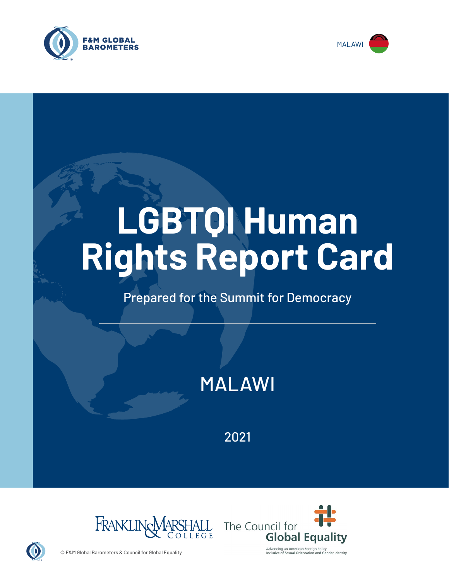



# **LGBTQI Human Rights Report Card**

# Prepared for the Summit for Democracy

MALAWI

2021





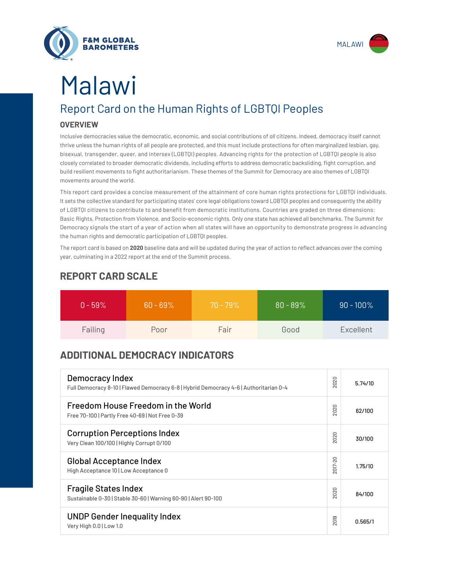



# Malawi

# Report Card on the Human Rights of LGBTQI Peoples

#### **OVERVIEW**

Inclusive democracies value the democratic, economic, and social contributions of *all* citizens. Indeed, democracy itself cannot thrive unless the human rights of all people are protected, and this must include protections for often marginalized lesbian, gay, bisexual, transgender, queer, and intersex (LGBTQI) peoples. Advancing rights for the protection of LGBTQI people is also closely correlated to broader democratic dividends, including efforts to address democratic backsliding, fight corruption, and build resilient movements to fight authoritarianism. These themes of the Summit for Democracy are also themes of LGBTQI movements around the world.

This report card provides a concise measurement of the attainment of core human rights protections for LGBTQI individuals. It sets the collective standard for participating states' core legal obligations toward LGBTQI peoples and consequently the ability of LGBTQI citizens to contribute to and benefit from democratic institutions. Countries are graded on three dimensions: Basic Rights, Protection from Violence, and Socio-economic rights. Only one state has achieved all benchmarks. The Summit for Democracy signals the start of a year of action when all states will have an opportunity to demonstrate progress in advancing the human rights and democratic participation of LGBTQI peoples.

The report card is based on **2020** baseline data and will be updated during the year of action to reflect advances over the coming year, culminating in a 2022 report at the end of the Summit process.

| $0 - 59\%$ | $60 - 69\%$ | $70 - 79\%$ | $80 - 89\%$ | $90 - 100\%$ |
|------------|-------------|-------------|-------------|--------------|
| Failing    | Poor        | Fair        | Good        | Excellent    |

### **REPORT CARD SCALE**

## **ADDITIONAL DEMOCRACY INDICATORS**

| Democracy Index<br>Full Democracy 8-10   Flawed Democracy 6-8   Hybrid Democracy 4-6   Authoritarian 0-4 | 2020                | 5.74/10 |
|----------------------------------------------------------------------------------------------------------|---------------------|---------|
| Freedom House Freedom in the World<br>Free 70-100   Partly Free 40-69   Not Free 0-39                    | 2020                | 62/100  |
| <b>Corruption Perceptions Index</b><br>Very Clean 100/100   Highly Corrupt 0/100                         | 020<br>$\sim$       | 30/100  |
| <b>Global Acceptance Index</b><br>High Acceptance 10   Low Acceptance 0                                  | 2017-20             | 1.75/10 |
| <b>Fragile States Index</b><br>Sustainable 0-30   Stable 30-60   Warning 60-90   Alert 90-100            | 2020                | 84/100  |
| <b>UNDP Gender Inequality Index</b><br>Very High 0.0   Low 1.0                                           | တ<br>$\overline{5}$ | 0.565/1 |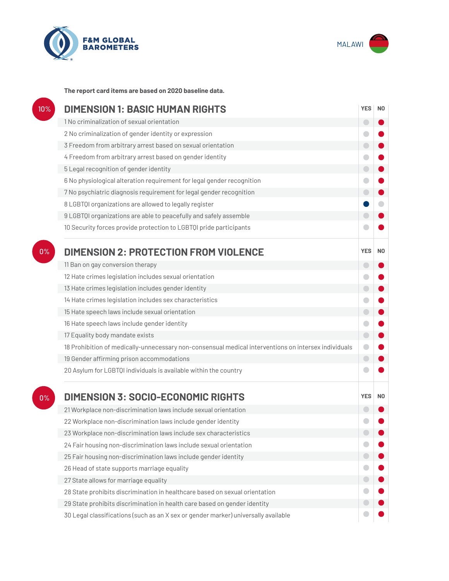



**The report card items are based on 2020 baseline data.**

| 10% | <b>DIMENSION 1: BASIC HUMAN RIGHTS</b>                                                               |            |    |
|-----|------------------------------------------------------------------------------------------------------|------------|----|
|     | 1 No criminalization of sexual orientation                                                           | $\bigcirc$ |    |
|     | 2 No criminalization of gender identity or expression                                                | O          |    |
|     | 3 Freedom from arbitrary arrest based on sexual orientation                                          | $\bigcirc$ |    |
|     | 4 Freedom from arbitrary arrest based on gender identity                                             |            |    |
|     | 5 Legal recognition of gender identity                                                               | $\bigcirc$ |    |
|     | 6 No physiological alteration requirement for legal gender recognition                               | O          |    |
|     | 7 No psychiatric diagnosis requirement for legal gender recognition                                  | $\bigcirc$ |    |
|     | 8 LGBTQI organizations are allowed to legally register                                               |            |    |
|     | 9 LGBTQI organizations are able to peacefully and safely assemble                                    |            |    |
|     | 10 Security forces provide protection to LGBTQI pride participants                                   |            |    |
| 0%  | <b>DIMENSION 2: PROTECTION FROM VIOLENCE</b>                                                         | <b>YES</b> | N0 |
|     | 11 Ban on gay conversion therapy                                                                     | $\bigcirc$ |    |
|     | 12 Hate crimes legislation includes sexual orientation                                               | o          |    |
|     | 13 Hate crimes legislation includes gender identity                                                  | $\bigcirc$ |    |
|     | 14 Hate crimes legislation includes sex characteristics                                              |            |    |
|     | 15 Hate speech laws include sexual orientation                                                       | $\bigcirc$ |    |
|     | 16 Hate speech laws include gender identity                                                          | $\bullet$  |    |
|     | 17 Equality body mandate exists                                                                      | $\bigcirc$ |    |
|     | 18 Prohibition of medically-unnecessary non-consensual medical interventions on intersex individuals | $\bigcirc$ |    |
|     | 19 Gender affirming prison accommodations                                                            | $\bigodot$ |    |
|     | 20 Asylum for LGBTQI individuals is available within the country                                     |            |    |
| 0%  | <b>DIMENSION 3: SOCIO-ECONOMIC RIGHTS</b>                                                            | <b>YES</b> | N0 |
|     | 21 Workplace non-discrimination laws include sexual orientation                                      |            |    |
|     | 22 Workplace non-discrimination laws include gender identity                                         |            |    |
|     | 23 Workplace non-discrimination laws include sex characteristics                                     |            |    |
|     | 24 Fair housing non-discrimination laws include sexual orientation                                   |            |    |
|     | 25 Fair housing non-discrimination laws include gender identity                                      | $\bigcirc$ |    |
|     | 26 Head of state supports marriage equality                                                          |            |    |
|     | 27 State allows for marriage equality                                                                | $\bigcirc$ |    |
|     | 28 State prohibits discrimination in healthcare based on sexual orientation                          | $\bullet$  |    |
|     | 29 State prohibits discrimination in health care based on gender identity                            |            |    |
|     | 30 Legal classifications (such as an X sex or gender marker) universally available                   |            |    |